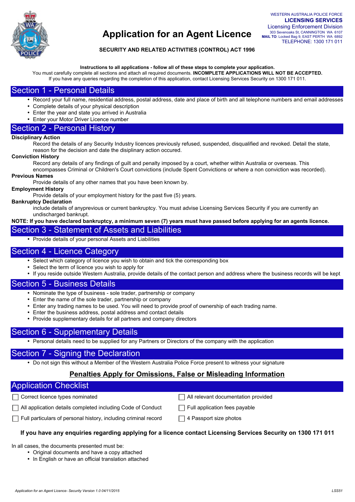

### **SECURITY AND RELATED ACTIVITIES (CONTROL) ACT 1996**

**Instructions to all applications - follow all of these steps to complete your application.** 

You must carefully complete all sections and attach all required documents. **INCOMPLETE APPLICATIONS WILL NOT BE ACCEPTED.**  If you have any queries regarding the completion of this application, contact Licensing Services Security on 1300 171 011.

## Section 1 - Personal Details

- Record your full name, residential address, postal address, date and place of birth and all telephone numbers and email addresses
- Complete details of your physical description
- Enter the year and state you arrived in Australia
- Enter your Motor Driver Licence number

### Section 2 - Personal History

#### **Disciplinary Action**

Record the details of any Security Industry licences previously refused, suspended, disqualified and revoked. Detail the state, reason for the decision and date the disiplinary action occured.

#### **Conviction History**

Record any details of any findings of guilt and penalty imposed by a court, whether within Australia or overseas. This

encompasses Criminal or Children's Court convictions (include Spent Convictions or where a non conviction was recorded). **Previous Names** 

Provide details of any other names that you have been known by.

#### **Employment History**

Provide details of your employment history for the past five (5) years.

#### **Bankruptcy Declaration**

include details of anyprevious or current bankruptcy. You must advise Licensing Services Security if you are currently an undischarged bankrupt.

### **NOTE: If you have declared bankruptcy, a minimum seven (7) years must have passed before applying for an agents licence.**

## Section 3 - Statement of Assets and Liabilities

• Provide details of your personal Assets and Liabilities

### Section 4 - Licence Category

- Select which category of licence you wish to obtain and tick the corresponding box
- Select the term of licence you wish to apply for
- If you reside outside Western Australia, provide details of the contact person and address where the business records will be kept

## Section 5 - Business Details

- Nominate the type of business sole trader, partnership or company
- Enter the name of the sole trader, partnership or company
- Enter any trading names to be used. You will need to provide proof of ownership of each trading name.
- Enter the business address, postal address amd contact details
- Provide supplementary details for all partners and company directors

## Section 6 - Supplementary Details

• Personal details need to be supplied for any Partners or Directors of the company with the application

## Section 7 - Signing the Declaration

• Do not sign this without a Member of the Western Australia Police Force present to witness your signature

## **Penalties Apply for Omissions, False or Misleading Information**

## Application Checklist

- 
- $\Box$  All application details completed including Code of Conduct  $\Box$  Full application fees payable
- Correct licence types nominated  $\Box$  All relevant documentation provided
	-
- $\Box$  Full particulars of personal history, including criminal record  $\Box$  4 Passport size photos
- 

### **If you have any enquiries regarding applying for a licence contact Licensing Services Security on 1300 171 011**

In all cases, the documents presented must be:

- Original documents and have a copy attached
- In English or have an official translation attached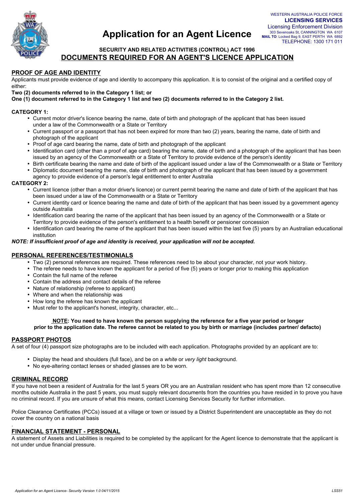

## **SECURITY AND RELATED ACTIVITIES (CONTROL) ACT 1996 DOCUMENTS REQUIRED FOR AN AGENT'S LICENCE APPLICATION**

#### **PROOF OF AGE AND IDENTITY**

Applicants must provide evidence of age and identity to accompany this application. It is to consist of the original and a certified copy of either:

**Two (2) documents referred to in the Category 1 list; or** 

**One (1) document referred to in the Category 1 list and two (2) documents referred to in the Category 2 list.** 

#### **CATEGORY 1:**

- Current motor driver's licence bearing the name, date of birth and photograph of the applicant that has been issued under a law of the Commonwealth or a State or Territory
- Current passport or a passport that has not been expired for more than two (2) years, bearing the name, date of birth and photograph of the applicant
- Proof of age card bearing the name, date of birth and photograph of the applicant
- Identification card (other than a proof of age card) bearing the name, date of birth and a photograph of the applicant that has been issued by an agency of the Commonwealth or a State of Territory to provide evidence of the person's identity
- Birth certificate bearing the name and date of birth of the applicant issued under a law of the Commonwealth or a State or Territory • Diplomatic document bearing the name, date of birth and photograph of the applicant that has been issued by a government
- agency to provide evidence of a person's legal entitlement to enter Australia

#### **CATEGORY 2:**

- Current licence (other than a motor driver's licence) or current permit bearing the name and date of birth of the applicant that has been issued under a law of the Commonwealth or a State or Territory
- Current identity card or licence bearing the name and date of birth of the applicant that has been issued by a government agency outside Australia
- Identification card bearing the name of the applicant that has been issued by an agency of the Commonwealth or a State or Territory to provide evidence of the person's entitlement to a health benefit or pensioner concession
- Identification card bearing the name of the applicant that has been issued within the last five (5) years by an Australian educational institution

#### *NOTE: If insufficient proof of age and identity is received, your application will not be accepted.*

#### **PERSONAL REFERENCES/TESTIMONIALS**

- Two (2) personal references are required. These references need to be about your character, not your work history.
- The referee needs to have known the applicant for a period of five (5) years or longer prior to making this application
- Contain the full name of the referee
- Contain the address and contact details of the referee
- Nature of relationship (referee to applicant)
- Where and when the relationship was
- How long the referee has known the applicant
- Must refer to the applicant's honest, integrity, character, etc...

#### **NOTE: You need to have known the person supplying the reference for a five year period or longer prior to the application date. The referee cannot be related to you by birth or marriage (includes partner/ defacto)**

#### **PASSPORT PHOTOS**

A set of four (4) passport size photographs are to be included with each application. Photographs provided by an applicant are to:

- Display the head and shoulders (full face), and be on a *white* or *very light* background.
- No eye-altering contact lenses or shaded glasses are to be worn.

#### **CRIMINAL RECORD**

.

If you have not been a resident of Australia for the last 5 years OR you are an Australian resident who has spent more than 12 consecutive months outside Australia in the past 5 years, you must supply relevant documents from the countries you have resided in to prove you have no criminal record. If you are unsure of what this means, contact Licensing Services Security for further information.

Police Clearance Certificates (PCCs) issued at a village or town or issued by a District Superintendent are unacceptable as they do not cover the country on a national basis

#### **FINANCIAL STATEMENT - PERSONAL**

A statement of Assets and Liabilities is required to be completed by the applicant for the Agent licence to demonstrate that the applicant is not under undue financial pressure.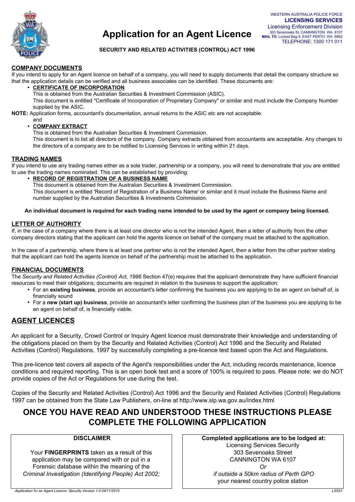

### **SECURITY AND RELATED ACTIVITIES (CONTROL) ACT 1996**

### **COMPANY DOCUMENTS**

If you intend to apply for an Agent licence on behalf of a company, you will need to supply documents that detail the company structure so that the application details can be verified and all business associates can be identified. These documents are:

• **CERTIFICATE OF INCORPORATION** 

This is obtained from the Australian Securities & Investment Commission (ASIC).

This document is entitled "Certificate of Incorporation of Proprietary Company" or similar and must include the Company Number supplied by the ASIC.

**NOTE:** Application forms, accountant's documentation, annual returns to the ASIC etc are not acceptable.

and

• **COMPANY EXTRACT** 

This is obtained from the Australian Securities & Investment Commission.

This document is to list all directors of the company. Company extracts obtained from accountants are acceptable. Any changes to the directors of a company are to be notified to Licensing Services in writing within 21 days.

#### **TRADING NAMES**

If you intend to use any trading names either as a sole trader, partnership or a company, you will need to demonstrate that you are entitled to use the trading names nominated. This can be established by providing:

• **RECORD OF REGISTRATION OF A BUSINESS NAME** 

This document is obtained from the Australian Securities & Investment Commission.

This document is entitled 'Record of Registration of a Business Name' or similar and it must include the Business Name and number supplied by the Australian Securities & Investments Commission.

#### **An individual document is required for each trading name intended to be used by the agent or company being licensed.**

### **LETTER OF AUTHORITY**

If, in the case of a company where there is at least one director who is not the intended Agent, then a letter of authority from the other company directors stating that the applicant can hold the agents licence on behalf of the company must be attached to the application.

In the case of a partnership, where there is at least one partner who is not the intended Agent, then a letter from the other partner stating that the applicant can hold the agents licence on behalf of the partnership must be attached to the application.

### **FINANCIAL DOCUMENTS**

The *Security and Related Activities (Control) Act, 1996* Section 47(e) requires that the applicant demonstrate they have sufficient financial resources to meet their obligations; documents are required in relation to the business to support the application:

- For an **existing business**, provide an accountant's letter confirming the business you are applying to be an agent on behalf of, is financially sound
- For a **new (start up) business**, provide an accountant's letter confirming the business plan of the business you are applying to be an agent on behalf of, is financially viable.

## **AGENT LICENCES**

An applicant for a Security, Crowd Control or Inquiry Agent licence must demonstrate their knowledge and understanding of the obligations placed on them by the Security and Related Activities (Control) Act 1996 and the Security and Related Activities (Control) Regulations, 1997 by successfully completing a pre-licence test based upon the Act and Regulations.

This pre-licence test covers all aspects of the Agent's responsibilities under the Act, including records maintenance, licence conditions and required reporting. This is an open book test and a score of 100% is required to pass. Please note: we do NOT provide copies of the Act or Regulations for use during the test.

Copies of the Security and Related Activities (Control) Act 1996 and the Security and Related Activities (Control) Regulations 1997 can be obtained from the State Law Publishers, on-line at http://www.slp.wa.gov.au/index.html

## **ONCE YOU HAVE READ AND UNDERSTOOD THESE INSTRUCTIONS PLEASE COMPLETE THE FOLLOWING APPLICATION**

### **DISCLAIMER**

Your **FINGERPRINTS** taken as a result of this application may be compared with or put in a Forensic database within the meaning of the *Criminal Investigation (Identifying People) Act 2002;*  **Completed applications are to be lodged at:**  Licensing Services Security 303 Sevenoaks Street CANNINGTON WA 6107 *Or if outside a 50km radius of Perth GPO*  your nearest country police station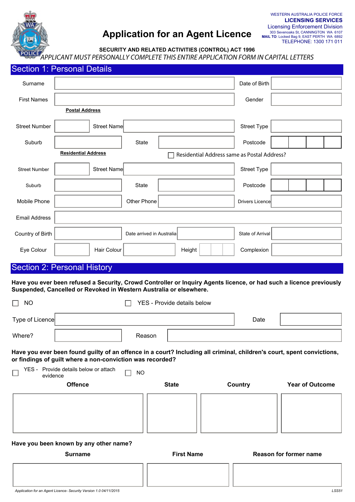

**SECURITY AND RELATED ACTIVITIES (CONTROL) ACT 1996**

*APPLICANT MUST PERSONALLY COMPLETE THIS ENTIRE APPLICATION FORM IN CAPITAL LETTERS*

|                                                                           | Section 1: Personal Details                                                                                                                                                                                                                    |                             |                   |        |                      |                        |  |                        |  |  |
|---------------------------------------------------------------------------|------------------------------------------------------------------------------------------------------------------------------------------------------------------------------------------------------------------------------------------------|-----------------------------|-------------------|--------|----------------------|------------------------|--|------------------------|--|--|
| Surname                                                                   |                                                                                                                                                                                                                                                |                             |                   |        |                      | Date of Birth          |  |                        |  |  |
| <b>First Names</b>                                                        |                                                                                                                                                                                                                                                |                             |                   |        |                      | Gender                 |  |                        |  |  |
|                                                                           | <b>Postal Address</b>                                                                                                                                                                                                                          |                             |                   |        |                      |                        |  |                        |  |  |
| <b>Street Number</b>                                                      | Street Name                                                                                                                                                                                                                                    |                             |                   |        |                      | <b>Street Type</b>     |  |                        |  |  |
| Suburb                                                                    |                                                                                                                                                                                                                                                | State                       |                   |        |                      | Postcode               |  |                        |  |  |
| <b>Residential Address</b><br>Residential Address same as Postal Address? |                                                                                                                                                                                                                                                |                             |                   |        |                      |                        |  |                        |  |  |
| <b>Street Number</b>                                                      | Street Name                                                                                                                                                                                                                                    |                             |                   |        |                      | <b>Street Type</b>     |  |                        |  |  |
| Suburb                                                                    |                                                                                                                                                                                                                                                | State                       |                   |        | $\blacktriangledown$ | Postcode               |  |                        |  |  |
| Mobile Phone                                                              |                                                                                                                                                                                                                                                | Other Phone                 |                   |        |                      | Drivers Licence        |  |                        |  |  |
| <b>Email Address</b>                                                      |                                                                                                                                                                                                                                                |                             |                   |        |                      |                        |  |                        |  |  |
| Country of Birth                                                          |                                                                                                                                                                                                                                                | Date arrived in Australia   |                   |        |                      | State of Arrival       |  |                        |  |  |
| Eye Colour                                                                | Hair Colour                                                                                                                                                                                                                                    |                             |                   | Height |                      | Complexion             |  |                        |  |  |
|                                                                           | <b>Section 2: Personal History</b>                                                                                                                                                                                                             |                             |                   |        |                      |                        |  |                        |  |  |
| <b>NO</b><br>$\Box$                                                       | Have you ever been refused a Security, Crowd Controller or Inquiry Agents licence, or had such a licence previously<br>Suspended, Cancelled or Revoked in Western Australia or elsewhere.                                                      | YES - Provide details below |                   |        |                      |                        |  |                        |  |  |
| Type of Licence                                                           |                                                                                                                                                                                                                                                |                             |                   |        |                      | Date                   |  |                        |  |  |
| Where?                                                                    |                                                                                                                                                                                                                                                | Reason                      |                   |        |                      |                        |  |                        |  |  |
| evidence                                                                  | Have you ever been found guilty of an offence in a court? Including all criminal, children's court, spent convictions,<br>or findings of guilt where a non-conviction was recorded?<br>YES - Provide details below or attach<br><b>Offence</b> | <b>NO</b>                   | <b>State</b>      |        |                      | Country                |  | <b>Year of Outcome</b> |  |  |
|                                                                           |                                                                                                                                                                                                                                                |                             |                   |        |                      |                        |  |                        |  |  |
|                                                                           | Have you been known by any other name?<br><b>Surname</b>                                                                                                                                                                                       |                             | <b>First Name</b> |        |                      | Reason for former name |  |                        |  |  |
|                                                                           |                                                                                                                                                                                                                                                |                             |                   |        |                      |                        |  |                        |  |  |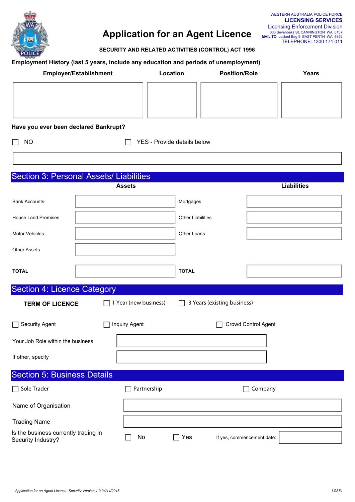

**SECURITY AND RELATED ACTIVITIES (CONTROL) ACT 1996**

### **Employment History (last 5 years, include any education and periods of unemployment)**

|         | <b>LICENSING SERVICES</b>                                                         |
|---------|-----------------------------------------------------------------------------------|
| _icence | <b>Licensing Enforcement Division</b>                                             |
|         | 303 Sevenoaks St, CANNINGTON WA 6107<br>MAIL TO: Locked Bag 9, EAST PERTH WA 6892 |
|         | TELEPHONE: 1300 171 011                                                           |

WESTERN AUSTRALIA POLICE FORCE

| <b>Employer/Establishment</b>                              |               |                             | Location                 |                             | <b>Position/Role</b> | Years              |
|------------------------------------------------------------|---------------|-----------------------------|--------------------------|-----------------------------|----------------------|--------------------|
|                                                            |               |                             |                          |                             |                      |                    |
| Have you ever been declared Bankrupt?                      |               |                             |                          |                             |                      |                    |
| <b>NO</b>                                                  |               | YES - Provide details below |                          |                             |                      |                    |
|                                                            |               |                             |                          |                             |                      |                    |
| Section 3: Personal Assets/ Liabilities                    |               |                             |                          |                             |                      |                    |
|                                                            | <b>Assets</b> |                             |                          |                             |                      | <b>Liabilities</b> |
| <b>Bank Accounts</b>                                       |               |                             | Mortgages                |                             |                      |                    |
| <b>House Land Premises</b>                                 |               |                             | <b>Other Liabilities</b> |                             |                      |                    |
| <b>Motor Vehicles</b>                                      |               |                             | Other Loans              |                             |                      |                    |
| <b>Other Assets</b>                                        |               |                             |                          |                             |                      |                    |
| <b>TOTAL</b>                                               |               |                             | <b>TOTAL</b>             |                             |                      |                    |
| <b>Section 4: Licence Category</b>                         |               |                             |                          |                             |                      |                    |
| <b>TERM OF LICENCE</b>                                     |               | 1 Year (new business)       |                          | 3 Years (existing business) |                      |                    |
| Security Agent                                             | Inquiry Agent |                             |                          |                             | Crowd Control Agent  |                    |
| Your Job Role within the business                          |               |                             |                          |                             | ▼                    |                    |
| If other, specify                                          |               |                             |                          |                             |                      |                    |
| <b>Section 5: Business Details</b>                         |               |                             |                          |                             |                      |                    |
| Sole Trader                                                |               | Partnership                 |                          |                             | Company              |                    |
| Name of Organisation                                       |               |                             |                          |                             |                      |                    |
| <b>Trading Name</b>                                        |               |                             |                          |                             |                      |                    |
| Is the business currently trading in<br>Security Industry? |               | No                          | Yes<br>П                 | If yes, commencement date:  |                      |                    |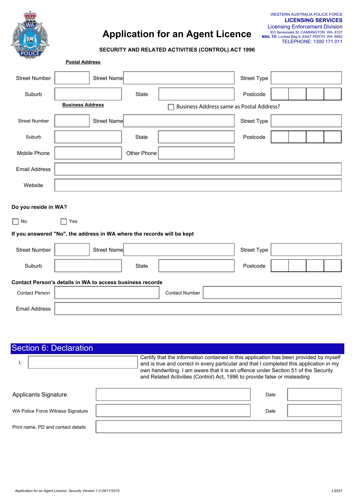

#### **SECURITY AND RELATED ACTIVITIES (CONTROL) ACT 1996**

| $-7-$                                                                  | <b>Postal Address</b>                                     |             |                                          |             |  |  |  |  |
|------------------------------------------------------------------------|-----------------------------------------------------------|-------------|------------------------------------------|-------------|--|--|--|--|
| <b>Street Number</b>                                                   | Street Name                                               |             |                                          | Street Type |  |  |  |  |
| Suburb                                                                 |                                                           | State       | $\blacktriangledown$                     | Postcode    |  |  |  |  |
|                                                                        | <b>Business Address</b>                                   |             | Business Address same as Postal Address? |             |  |  |  |  |
| <b>Street Number</b>                                                   | Street Name                                               |             |                                          | Street Type |  |  |  |  |
| Suburb                                                                 |                                                           | State       |                                          | Postcode    |  |  |  |  |
| Mobile Phone                                                           |                                                           | Other Phone |                                          |             |  |  |  |  |
| <b>Email Address</b>                                                   |                                                           |             |                                          |             |  |  |  |  |
| Website                                                                |                                                           |             |                                          |             |  |  |  |  |
| Do you reside in WA?                                                   |                                                           |             |                                          |             |  |  |  |  |
| $\Box$ No                                                              | Yes                                                       |             |                                          |             |  |  |  |  |
| If you answered "No", the address in WA where the records will be kept |                                                           |             |                                          |             |  |  |  |  |
| <b>Street Number</b>                                                   | <b>Street Name</b>                                        |             |                                          | Street Type |  |  |  |  |
| Suburb                                                                 |                                                           | State       | ▼                                        | Postcode    |  |  |  |  |
|                                                                        | Contact Person's details in WA to access business records |             |                                          |             |  |  |  |  |
| <b>Contact Person</b>                                                  |                                                           |             | <b>Contact Number</b>                    |             |  |  |  |  |
| <b>Email Address</b>                                                   |                                                           |             |                                          |             |  |  |  |  |

| Section 6: Declaration             |                                                                                                                                                                                                                                                                                                                                                      |
|------------------------------------|------------------------------------------------------------------------------------------------------------------------------------------------------------------------------------------------------------------------------------------------------------------------------------------------------------------------------------------------------|
|                                    | Certify that the information contained in this application has been provided by myself<br>and is true and correct in every particular and that I completed this application in my<br>own handwriting. I am aware that it is an offence under Section 51 of the Security<br>and Related Activities (Control) Act, 1996 to provide false or misleading |
| <b>Applicants Signature</b>        | Date                                                                                                                                                                                                                                                                                                                                                 |
| WA Police Force Witness Signature  | Date                                                                                                                                                                                                                                                                                                                                                 |
| Print name, PD and contact details |                                                                                                                                                                                                                                                                                                                                                      |